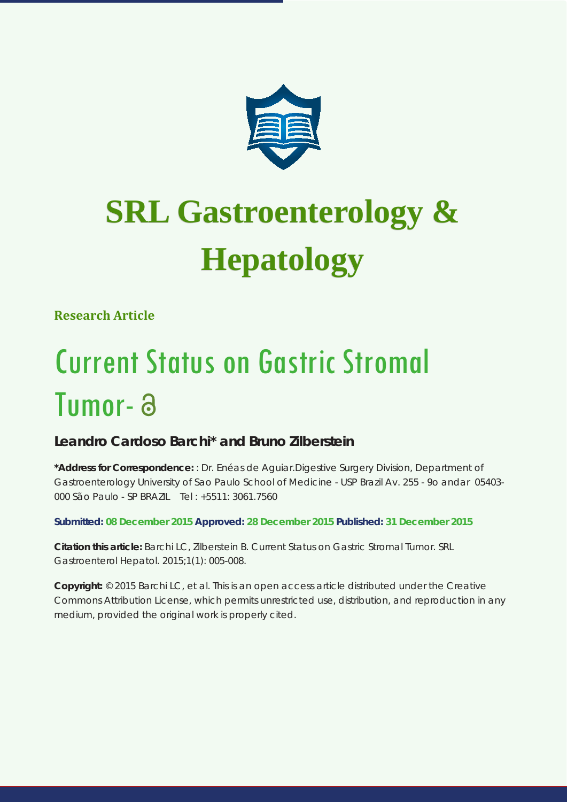

# **SRL Gastroenterology & SRL Gastroenterology & Hepatology**

**Research Article**

## Current Status on Gastric Stromal Tumor-

### **Leandro Cardoso Barchi\* and Bruno Zilberstein**

**\*Address for Correspondence:** : Dr. Enéas de Aguiar.Digestive Surgery Division, Department of Gastroenterology University of Sao Paulo School of Medicine - USP Brazil Av. 255 - 9o andar 05403- 000 São Paulo - SP BRAZIL Tel : +5511: 3061.7560

**Submitted: 08 December 2015 Approved: 28 December 2015 Published: 31 December 2015**

**Citation this article:** Barchi LC, Zilberstein B. Current Status on Gastric Stromal Tumor. SRL Gastroenterol Hepatol. 2015;1(1): 005-008.

**Copyright:** © 2015 Barchi LC, et al. This is an open access article distributed under the Creative Commons Attribution License, which permits unrestricted use, distribution, and reproduction in any medium, provided the original work is properly cited.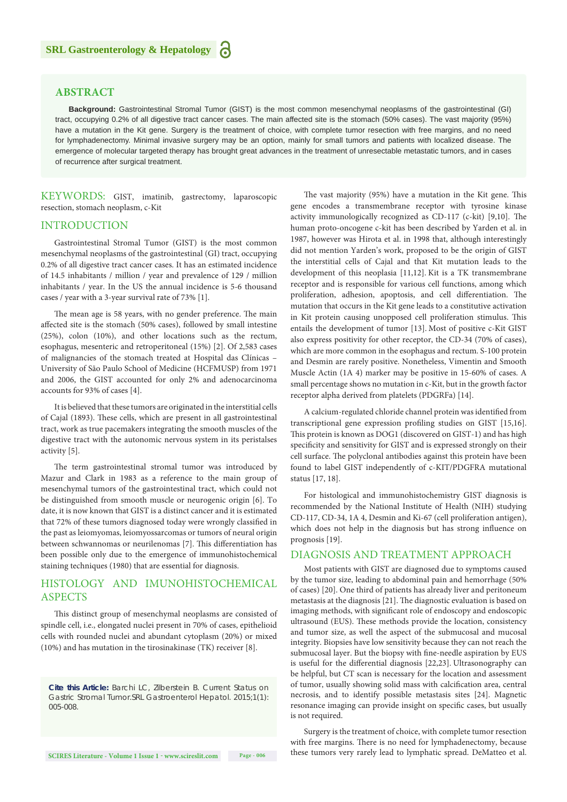#### **ABSTRACT**

**Background:** Gastrointestinal Stromal Tumor (GIST) is the most common mesenchymal neoplasms of the gastrointestinal (GI) tract, occupying 0.2% of all digestive tract cancer cases. The main affected site is the stomach (50% cases). The vast majority (95%) have a mutation in the Kit gene. Surgery is the treatment of choice, with complete tumor resection with free margins, and no need for lymphadenectomy. Minimal invasive surgery may be an option, mainly for small tumors and patients with localized disease. The emergence of molecular targeted therapy has brought great advances in the treatment of unresectable metastatic tumors, and in cases of recurrence after surgical treatment.

KEYWORDS: GIST, imatinib, gastrectomy, laparoscopic resection, stomach neoplasm, c-Kit

#### INTRODUCTION

Gastrointestinal Stromal Tumor (GIST) is the most common mesenchymal neoplasms of the gastrointestinal (GI) tract, occupying 0.2% of all digestive tract cancer cases. It has an estimated incidence of 14.5 inhabitants / million / year and prevalence of 129 / million inhabitants / year. In the US the annual incidence is 5-6 thousand cases / year with a 3-year survival rate of 73% [1].

The mean age is 58 years, with no gender preference. The main affected site is the stomach (50% cases), followed by small intestine (25%), colon (10%), and other locations such as the rectum, esophagus, mesenteric and retroperitoneal (15%) [2]. Of 2,583 cases of malignancies of the stomach treated at Hospital das Clínicas – University of São Paulo School of Medicine (HCFMUSP) from 1971 and 2006, the GIST accounted for only 2% and adenocarcinoma accounts for 93% of cases [4].

It is believed that these tumors are originated in the interstitial cells of Cajal (1893). These cells, which are present in all gastrointestinal tract, work as true pacemakers integrating the smooth muscles of the digestive tract with the autonomic nervous system in its peristalses activity [5].

The term gastrointestinal stromal tumor was introduced by Mazur and Clark in 1983 as a reference to the main group of mesenchymal tumors of the gastrointestinal tract, which could not be distinguished from smooth muscle or neurogenic origin [6]. To date, it is now known that GIST is a distinct cancer and it is estimated that 72% of these tumors diagnosed today were wrongly classified in the past as leiomyomas, leiomyossarcomas or tumors of neural origin between schwannomas or neurilenomas [7]. This differentiation has been possible only due to the emergence of immunohistochemical staining techniques (1980) that are essential for diagnosis.

#### HISTOLOGY AND IMUNOHISTOCHEMICAL ASPECTS

This distinct group of mesenchymal neoplasms are consisted of spindle cell, i.e., elongated nuclei present in 70% of cases, epithelioid cells with rounded nuclei and abundant cytoplasm (20%) or mixed (10%) and has mutation in the tirosinakinase (TK) receiver [8].

*Cite this Article: Barchi LC, Zilberstein B. Current Status on Gastric Stromal Tumor.SRL Gastroenterol Hepatol. 2015;1(1): 005-008.*

The vast majority (95%) have a mutation in the Kit gene. This gene encodes a transmembrane receptor with tyrosine kinase activity immunologically recognized as CD-117 (c-kit) [9,10]. The human proto-oncogene c-kit has been described by Yarden et al. in 1987, however was Hirota et al. in 1998 that, although interestingly did not mention Yarden's work, proposed to be the origin of GIST the interstitial cells of Cajal and that Kit mutation leads to the development of this neoplasia [11,12]. Kit is a TK transmembrane receptor and is responsible for various cell functions, among which proliferation, adhesion, apoptosis, and cell differentiation. The mutation that occurs in the Kit gene leads to a constitutive activation in Kit protein causing unopposed cell proliferation stimulus. This entails the development of tumor [13]. Most of positive c-Kit GIST also express positivity for other receptor, the CD-34 (70% of cases), which are more common in the esophagus and rectum. S-100 protein and Desmin are rarely positive. Nonetheless, Vimentin and Smooth Muscle Actin (1A 4) marker may be positive in 15-60% of cases. A small percentage shows no mutation in c-Kit, but in the growth factor receptor alpha derived from platelets (PDGRFa) [14].

A calcium-regulated chloride channel protein was identified from transcriptional gene expression profiling studies on GIST [15,16]. This protein is known as DOG1 (discovered on GIST-1) and has high specificity and sensitivity for GIST and is expressed strongly on their cell surface. The polyclonal antibodies against this protein have been found to label GIST independently of c-KIT/PDGFRA mutational status [17, 18].

For histological and immunohistochemistry GIST diagnosis is recommended by the National Institute of Health (NIH) studying CD-117, CD-34, 1A 4, Desmin and Ki-67 (cell proliferation antigen), which does not help in the diagnosis but has strong influence on prognosis [19].

#### DIAGNOSIS AND TREATMENT APPROACH

Most patients with GIST are diagnosed due to symptoms caused by the tumor size, leading to abdominal pain and hemorrhage (50% of cases) [20]. One third of patients has already liver and peritoneum metastasis at the diagnosis [21]. The diagnostic evaluation is based on imaging methods, with significant role of endoscopy and endoscopic ultrasound (EUS). These methods provide the location, consistency and tumor size, as well the aspect of the submucosal and mucosal integrity. Biopsies have low sensitivity because they can not reach the submucosal layer. But the biopsy with fine-needle aspiration by EUS is useful for the differential diagnosis [22,23]. Ultrasonography can be helpful, but CT scan is necessary for the location and assessment of tumor, usually showing solid mass with calcification area, central necrosis, and to identify possible metastasis sites [24]. Magnetic resonance imaging can provide insight on specific cases, but usually is not required.

Surgery is the treatment of choice, with complete tumor resection with free margins. There is no need for lymphadenectomy, because these tumors very rarely lead to lymphatic spread. DeMatteo et al.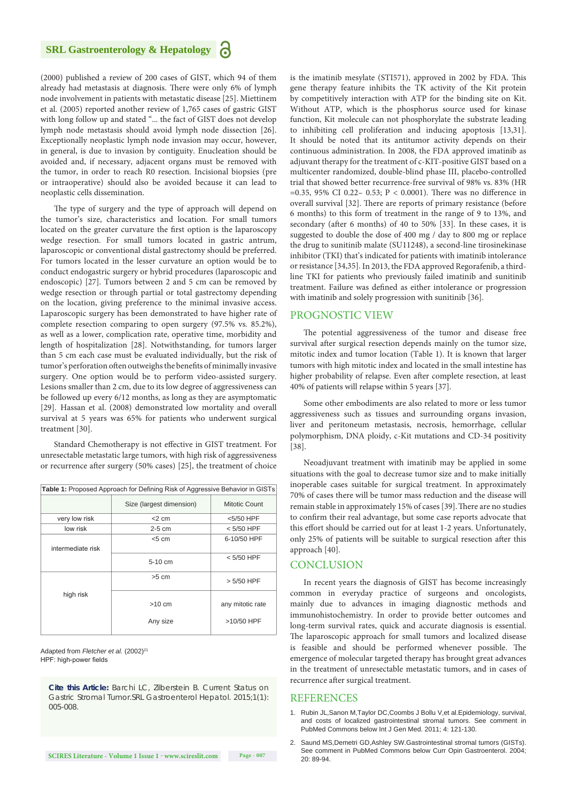#### **SRL Gastroenterology & Hepatology**

(2000) published a review of 200 cases of GIST, which 94 of them already had metastasis at diagnosis. There were only 6% of lymph node involvement in patients with metastatic disease [25]. Miettinem et al. (2005) reported another review of 1,765 cases of gastric GIST with long follow up and stated "... the fact of GIST does not develop lymph node metastasis should avoid lymph node dissection [26]. Exceptionally neoplastic lymph node invasion may occur, however, in general, is due to invasion by contiguity. Enucleation should be avoided and, if necessary, adjacent organs must be removed with the tumor, in order to reach R0 resection. Incisional biopsies (pre or intraoperative) should also be avoided because it can lead to neoplastic cells dissemination.

The type of surgery and the type of approach will depend on the tumor's size, characteristics and location. For small tumors located on the greater curvature the first option is the laparoscopy wedge resection. For small tumors located in gastric antrum, laparoscopic or conventional distal gastrectomy should be preferred. For tumors located in the lesser curvature an option would be to conduct endogastric surgery or hybrid procedures (laparoscopic and endoscopic) [27]. Tumors between 2 and 5 cm can be removed by wedge resection or through partial or total gastrectomy depending on the location, giving preference to the minimal invasive access. Laparoscopic surgery has been demonstrated to have higher rate of complete resection comparing to open surgery (97.5% vs. 85.2%), as well as a lower, complication rate, operative time, morbidity and length of hospitalization [28]. Notwithstanding, for tumors larger than 5 cm each case must be evaluated individually, but the risk of tumor's perforation often outweighs the benefits of minimally invasive surgery. One option would be to perform video-assisted surgery. Lesions smaller than 2 cm, due to its low degree of aggressiveness can be followed up every 6/12 months, as long as they are asymptomatic [29]. Hassan et al. (2008) demonstrated low mortality and overall survival at 5 years was 65% for patients who underwent surgical treatment [30].

Standard Chemotherapy is not effective in GIST treatment. For unresectable metastatic large tumors, with high risk of aggressiveness or recurrence after surgery (50% cases) [25], the treatment of choice

| <b>Table 1:</b> Proposed Approach for Defining Risk of Aggressive Behavior in GISTs |                          |                  |
|-------------------------------------------------------------------------------------|--------------------------|------------------|
|                                                                                     | Size (largest dimension) | Mitotic Count    |
| very low risk                                                                       | $<$ 2 cm                 | <5/50 HPF        |
| low risk                                                                            | $2-5$ cm                 | $< 5/50$ HPF     |
| intermediate risk                                                                   | < 5 cm                   | 6-10/50 HPF      |
|                                                                                     | $5-10$ cm                | $< 5/50$ HPF     |
| high risk                                                                           | $>5$ cm                  | > 5/50 HPF       |
|                                                                                     | $>10$ cm                 | any mitotic rate |
|                                                                                     | Any size                 | >10/50 HPF       |

Adapted from *Fletcher et al.* (2002)<sup>21</sup> HPF: high-power fields

*Cite this Article: Barchi LC, Zilberstein B. Current Status on Gastric Stromal Tumor.SRL Gastroenterol Hepatol. 2015;1(1): 005-008.*

is the imatinib mesylate (STI571), approved in 2002 by FDA. This gene therapy feature inhibits the TK activity of the Kit protein by competitively interaction with ATP for the binding site on Kit. Without ATP, which is the phosphorus source used for kinase function, Kit molecule can not phosphorylate the substrate leading to inhibiting cell proliferation and inducing apoptosis [13,31]. It should be noted that its antitumor activity depends on their continuous administration. In 2008, the FDA approved imatinib as adjuvant therapy for the treatment of c-KIT-positive GIST based on a multicenter randomized, double-blind phase III, placebo-controlled trial that showed better recurrence-free survival of 98% vs. 83% (HR =0.35, 95% CI 0.22– 0.53; P < 0.0001). There was no difference in overall survival [32]. There are reports of primary resistance (before 6 months) to this form of treatment in the range of 9 to 13%, and secondary (after 6 months) of 40 to 50% [33]. In these cases, it is suggested to double the dose of 400 mg / day to 800 mg or replace the drug to sunitinib malate (SU11248), a second-line tirosinekinase inhibitor (TKI) that's indicated for patients with imatinib intolerance or resistance [34,35]. In 2013, the FDA approved Regorafenib, a thirdline TKI for patients who previously failed imatinib and sunitinib treatment. Failure was defined as either intolerance or progression with imatinib and solely progression with sunitinib [36].

#### PROGNOSTIC VIEW

The potential aggressiveness of the tumor and disease free survival after surgical resection depends mainly on the tumor size, mitotic index and tumor location (Table 1). It is known that larger tumors with high mitotic index and located in the small intestine has higher probability of relapse. Even after complete resection, at least 40% of patients will relapse within 5 years [37].

Some other embodiments are also related to more or less tumor aggressiveness such as tissues and surrounding organs invasion, liver and peritoneum metastasis, necrosis, hemorrhage, cellular polymorphism, DNA ploidy, c-Kit mutations and CD-34 positivity [38].

Neoadjuvant treatment with imatinib may be applied in some situations with the goal to decrease tumor size and to make initially inoperable cases suitable for surgical treatment. In approximately 70% of cases there will be tumor mass reduction and the disease will remain stable in approximately 15% of cases [39].There are no studies to confirm their real advantage, but some case reports advocate that this effort should be carried out for at least 1-2 years. Unfortunately, only 25% of patients will be suitable to surgical resection after this approach [40].

#### **CONCLUSION**

In recent years the diagnosis of GIST has become increasingly common in everyday practice of surgeons and oncologists, mainly due to advances in imaging diagnostic methods and immunohistochemistry. In order to provide better outcomes and long-term survival rates, quick and accurate diagnosis is essential. The laparoscopic approach for small tumors and localized disease is feasible and should be performed whenever possible. The emergence of molecular targeted therapy has brought great advances in the treatment of unresectable metastatic tumors, and in cases of recurrence after surgical treatment.

#### **REFERENCES**

- 1. [Rubin JL,Sanon M,Taylor DC,Coombs J Bollu V,et al.Epidemiology, survival,](http://www.ncbi.nlm.nih.gov/pubmed/21475624)  [and costs of localized gastrointestinal stromal tumors. See comment in](http://www.ncbi.nlm.nih.gov/pubmed/21475624)  [PubMed Commons below Int J Gen Med. 2011; 4: 121-130.](http://www.ncbi.nlm.nih.gov/pubmed/21475624)
- 2. [Saund MS,Demetri GD,Ashley SW.Gastrointestinal stromal tumors \(GISTs\).](http://www.ncbi.nlm.nih.gov/pubmed/15703627)  [See comment in PubMed Commons below Curr Opin Gastroenterol. 2004;](http://www.ncbi.nlm.nih.gov/pubmed/15703627)  [20: 89-94.](http://www.ncbi.nlm.nih.gov/pubmed/15703627)